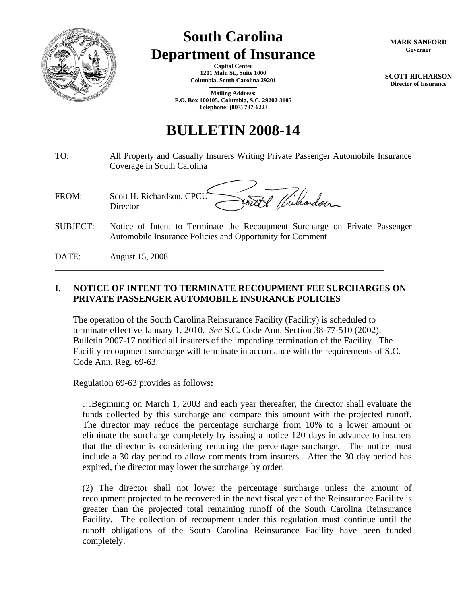

# **South Carolina Department of Insurance**

**Capital Center 1201 Main St., Suite 1000 Columbia, South Carolina 29201 \_\_\_\_\_\_\_\_\_\_\_\_\_\_\_\_\_\_\_\_\_\_\_\_\_**

**Mailing Address: P.O. Box 100105, Columbia, S.C. 29202-3105 Telephone: (803) 737-6223**

## **BULLETIN 2008-14**

- TO: All Property and Casualty Insurers Writing Private Passenger Automobile Insurance Coverage in South Carolina
- Forth Wilson FROM: Scott H. Richardson, CPCU **Director**
- SUBJECT: Notice of Intent to Terminate the Recoupment Surcharge on Private Passenger Automobile Insurance Policies and Opportunity for Comment
- DATE: August 15, 2008

### **I. NOTICE OF INTENT TO TERMINATE RECOUPMENT FEE SURCHARGES ON PRIVATE PASSENGER AUTOMOBILE INSURANCE POLICIES**

\_\_\_\_\_\_\_\_\_\_\_\_\_\_\_\_\_\_\_\_\_\_\_\_\_\_\_\_\_\_\_\_\_\_\_\_\_\_\_\_\_\_\_\_\_\_\_\_\_\_\_\_\_\_\_\_\_\_\_\_\_\_\_\_\_\_\_\_\_\_\_\_\_\_\_

The operation of the South Carolina Reinsurance Facility (Facility) is scheduled to terminate effective January 1, 2010. *See* S.C. Code Ann. Section 38-77-510 (2002). Bulletin 2007-17 notified all insurers of the impending termination of the Facility. The Facility recoupment surcharge will terminate in accordance with the requirements of S.C. Code Ann. Reg. 69-63.

Regulation 69-63 provides as follows**:** 

…Beginning on March 1, 2003 and each year thereafter, the director shall evaluate the funds collected by this surcharge and compare this amount with the projected runoff. The director may reduce the percentage surcharge from 10% to a lower amount or eliminate the surcharge completely by issuing a notice 120 days in advance to insurers that the director is considering reducing the percentage surcharge. The notice must include a 30 day period to allow comments from insurers. After the 30 day period has expired, the director may lower the surcharge by order.

(2) The director shall not lower the percentage surcharge unless the amount of recoupment projected to be recovered in the next fiscal year of the Reinsurance Facility is greater than the projected total remaining runoff of the South Carolina Reinsurance Facility. The collection of recoupment under this regulation must continue until the runoff obligations of the South Carolina Reinsurance Facility have been funded completely.

**MARK SANFORD Governor** 

**SCOTT RICHARSON Director of Insurance**